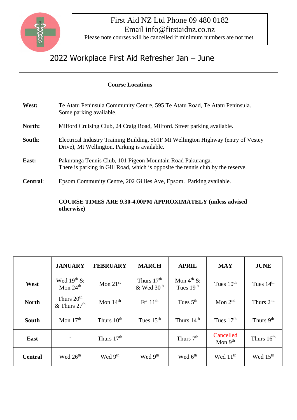

## First Aid NZ Ltd Phone 09 480 0182 Email info@firstaidnz.co.nz

Please note courses will be cancelled if minimum numbers are not met.

## 2022 Workplace First Aid Refresher Jan – June

|                 | <b>Course Locations</b>                                                                                                                        |  |  |  |  |  |  |  |
|-----------------|------------------------------------------------------------------------------------------------------------------------------------------------|--|--|--|--|--|--|--|
| West:           | Te Atatu Peninsula Community Centre, 595 Te Atatu Road, Te Atatu Peninsula.<br>Some parking available.                                         |  |  |  |  |  |  |  |
| North:          | Milford Cruising Club, 24 Craig Road, Milford. Street parking available.                                                                       |  |  |  |  |  |  |  |
| South:          | Electrical Industry Training Building, 501F Mt Wellington Highway (entry of Vestey<br>Drive), Mt Wellington. Parking is available.             |  |  |  |  |  |  |  |
| East:           | Pakuranga Tennis Club, 101 Pigeon Mountain Road Pakuranga.<br>There is parking in Gill Road, which is opposite the tennis club by the reserve. |  |  |  |  |  |  |  |
| <b>Central:</b> | Epsom Community Centre, 202 Gillies Ave, Epsom. Parking available.                                                                             |  |  |  |  |  |  |  |
|                 | <b>COURSE TIMES ARE 9.30-4.00PM APPROXIMATELY (unless advised)</b><br>otherwise)                                                               |  |  |  |  |  |  |  |

|                | <b>JANUARY</b>                                       | <b>FEBRUARY</b>        | <b>MARCH</b>                             | <b>APRIL</b>                         | <b>MAY</b>             | <b>JUNE</b>           |
|----------------|------------------------------------------------------|------------------------|------------------------------------------|--------------------------------------|------------------------|-----------------------|
| West           | Wed $19th$ &<br>Mon $24th$                           | Mon $21st$             | Thurs $17th$<br>$&$ Wed 30 <sup>th</sup> | Mon $4^{\text{th}}$ &<br>Tues $19th$ | Tues $10th$            | Tues $14th$           |
| <b>North</b>   | Thurs 20 <sup>th</sup><br>$&$ Thurs 27 <sup>th</sup> | Mon $14th$             | Fri $11th$                               | Tues $5th$                           | Mon $2nd$              | Thurs $2nd$           |
| South          | Mon $17th$                                           | Thurs 10 <sup>th</sup> | Tues $15th$                              | Thurs $14th$                         | Tues $17th$            | Thurs 9 <sup>th</sup> |
| <b>East</b>    |                                                      | Thurs $17th$           |                                          | Thurs 7 <sup>th</sup>                | Cancelled<br>Mon $9th$ | Thurs $16th$          |
| <b>Central</b> | Wed 26 <sup>th</sup>                                 | Wed 9 <sup>th</sup>    | Wed 9 <sup>th</sup>                      | Wed 6 <sup>th</sup>                  | Wed $11th$             | Wed 15 <sup>th</sup>  |